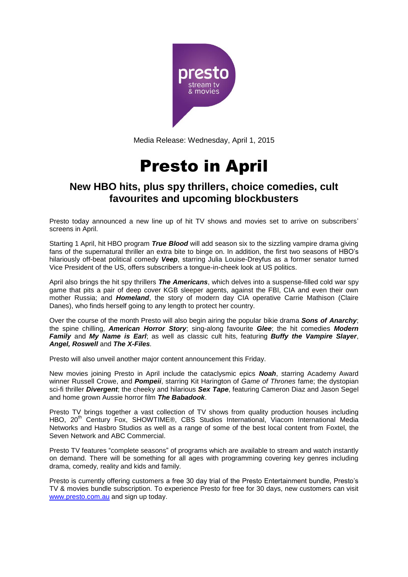

Media Release: Wednesday, April 1, 2015

## Presto in April

## **New HBO hits, plus spy thrillers, choice comedies, cult favourites and upcoming blockbusters**

Presto today announced a new line up of hit TV shows and movies set to arrive on subscribers' screens in April.

Starting 1 April, hit HBO program *True Blood* will add season six to the sizzling vampire drama giving fans of the supernatural thriller an extra bite to binge on. In addition, the first two seasons of HBO's hilariously off-beat political comedy *Veep*, starring Julia Louise-Dreyfus as a former senator turned Vice President of the US, offers subscribers a tongue-in-cheek look at US politics.

April also brings the hit spy thrillers *The Americans*, which delves into a suspense-filled cold war spy game that pits a pair of deep cover KGB sleeper agents, against the FBI, CIA and even their own mother Russia; and *Homeland*, the story of modern day CIA operative Carrie Mathison (Claire Danes), who finds herself going to any length to protect her country.

Over the course of the month Presto will also begin airing the popular bikie drama *Sons of Anarchy*; the spine chilling, *American Horror Story*; sing-along favourite *Glee*; the hit comedies *Modern Family* and *My Name is Earl*; as well as classic cult hits, featuring *Buffy the Vampire Slayer*, *Angel, Roswell* and *The X-Files.*

Presto will also unveil another major content announcement this Friday.

New movies joining Presto in April include the cataclysmic epics *Noah*, starring Academy Award winner Russell Crowe, and *Pompeii*, starring Kit Harington of *Game of Thrones* fame; the dystopian sci-fi thriller *Divergent*; the cheeky and hilarious *Sex Tape*, featuring Cameron Diaz and Jason Segel and home grown Aussie horror film *The Babadook*.

Presto TV brings together a vast collection of TV shows from quality production houses including HBO, 20<sup>th</sup> Century Fox, SHOWTIME®, CBS Studios International, Viacom International Media Networks and Hasbro Studios as well as a range of some of the best local content from Foxtel, the Seven Network and ABC Commercial.

Presto TV features "complete seasons" of programs which are available to stream and watch instantly on demand. There will be something for all ages with programming covering key genres including drama, comedy, reality and kids and family.

Presto is currently offering customers a free 30 day trial of the Presto Entertainment bundle, Presto's TV & movies bundle subscription. To experience Presto for free for 30 days, new customers can visit [www.presto.com.au](http://www.presto.com.au/) and sign up today.